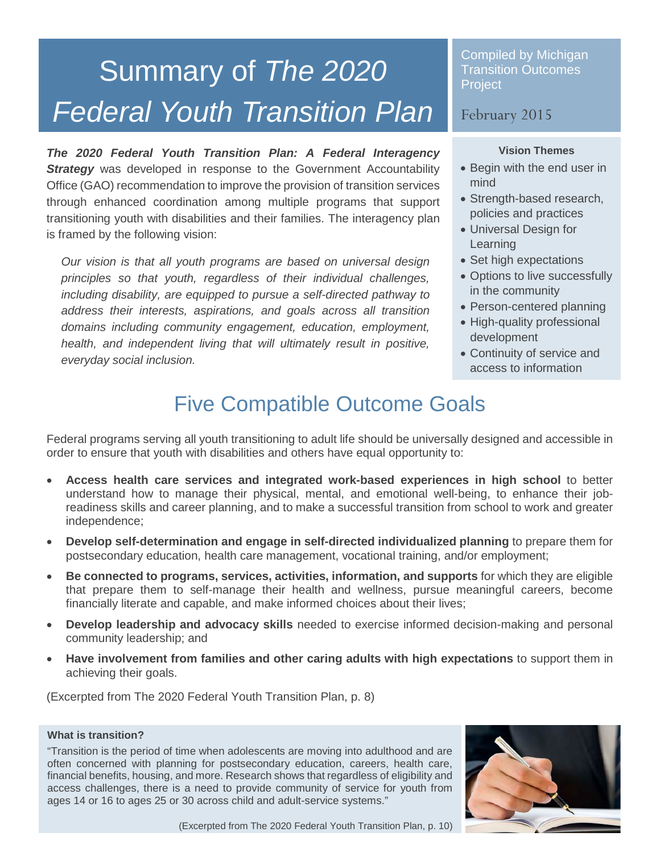# Summary of *The 2020 Federal Youth Transition Plan*

*The 2020 Federal Youth Transition Plan: A Federal Interagency*  **Strategy** was developed in response to the Government Accountability Office (GAO) recommendation to improve the provision of transition services through enhanced coordination among multiple programs that support transitioning youth with disabilities and their families. The interagency plan is framed by the following vision:

*Our vision is that all youth programs are based on universal design principles so that youth, regardless of their individual challenges, including disability, are equipped to pursue a self-directed pathway to address their interests, aspirations, and goals across all transition domains including community engagement, education, employment, health, and independent living that will ultimately result in positive, everyday social inclusion.*

Compiled by Michigan Transition Outcomes **Project** 

# February 2015

#### **Vision Themes**

- Begin with the end user in mind
- Strength-based research, policies and practices
- Universal Design for **Learning**
- Set high expectations
- Options to live successfully in the community
- Person-centered planning
- High-quality professional development
- Continuity of service and access to information

# Five Compatible Outcome Goals

Federal programs serving all youth transitioning to adult life should be universally designed and accessible in order to ensure that youth with disabilities and others have equal opportunity to:

- **Access health care services and integrated work-based experiences in high school** to better understand how to manage their physical, mental, and emotional well-being, to enhance their jobreadiness skills and career planning, and to make a successful transition from school to work and greater independence;
- **Develop self-determination and engage in self-directed individualized planning** to prepare them for postsecondary education, health care management, vocational training, and/or employment;
- **Be connected to programs, services, activities, information, and supports** for which they are eligible that prepare them to self-manage their health and wellness, pursue meaningful careers, become financially literate and capable, and make informed choices about their lives;
- **Develop leadership and advocacy skills** needed to exercise informed decision-making and personal community leadership; and
- **Have involvement from families and other caring adults with high expectations** to support them in achieving their goals.

(Excerpted from The 2020 Federal Youth Transition Plan, p. 8)

#### **What is transition?**

"Transition is the period of time when adolescents are moving into adulthood and are often concerned with planning for postsecondary education, careers, health care, financial benefits, housing, and more. Research shows that regardless of eligibility and access challenges, there is a need to provide community of service for youth from ages 14 or 16 to ages 25 or 30 across child and adult-service systems."